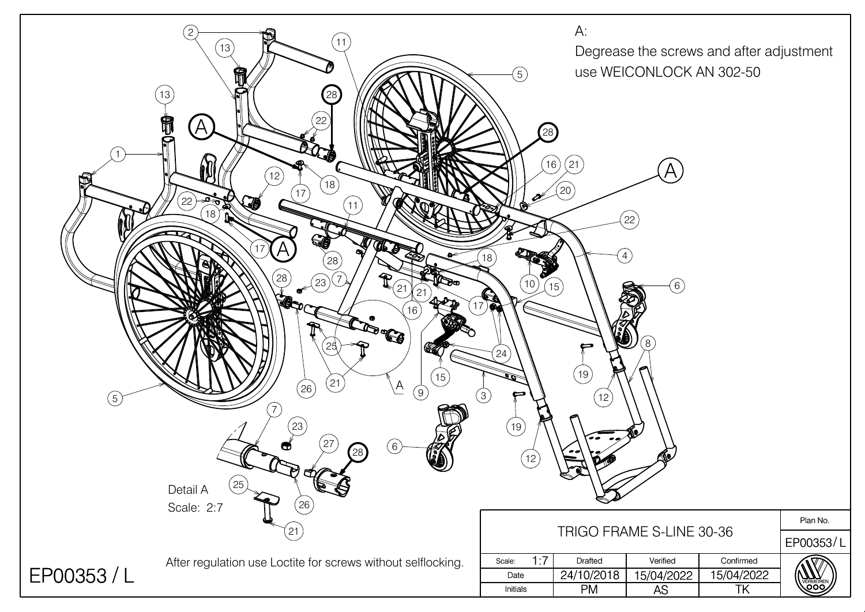